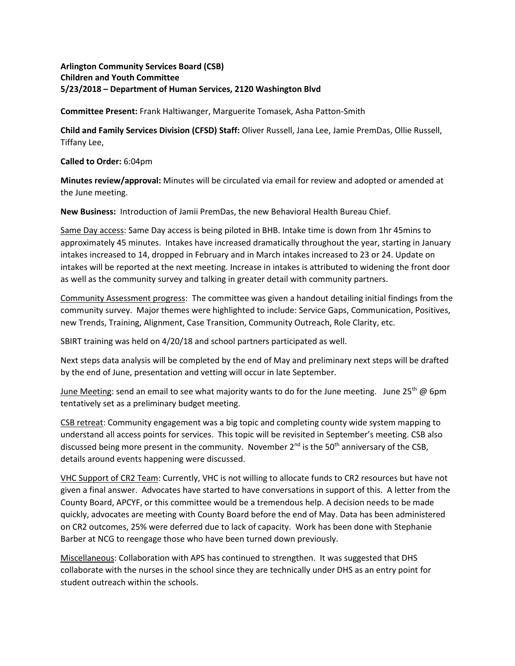## **Arlington Community Services Board (CSB) Children and Youth Committee 5/23/2018 – Department of Human Services, 2120 Washington Blvd**

**Committee Present:** Frank Haltiwanger, Marguerite Tomasek, Asha Patton-Smith

**Child and Family Services Division (CFSD) Staff:** Oliver Russell, Jana Lee, Jamie PremDas, Ollie Russell, Tiffany Lee,

**Called to Order:** 6:04pm

**Minutes review/approval:** Minutes will be circulated via email for review and adopted or amended at the June meeting.

**New Business:** Introduction of Jamii PremDas, the new Behavioral Health Bureau Chief.

Same Day access: Same Day access is being piloted in BHB. Intake time is down from 1hr 45mins to approximately 45 minutes. Intakes have increased dramatically throughout the year, starting in January intakes increased to 14, dropped in February and in March intakes increased to 23 or 24. Update on intakes will be reported at the next meeting. Increase in intakes is attributed to widening the front door as well as the community survey and talking in greater detail with community partners.

Community Assessment progress: The committee was given a handout detailing initial findings from the community survey. Major themes were highlighted to include: Service Gaps, Communication, Positives, new Trends, Training, Alignment, Case Transition, Community Outreach, Role Clarity, etc.

SBIRT training was held on 4/20/18 and school partners participated as well.

Next steps data analysis will be completed by the end of May and preliminary next steps will be drafted by the end of June, presentation and vetting will occur in late September.

June Meeting: send an email to see what majority wants to do for the June meeting. June 25<sup>th</sup> @ 6pm tentatively set as a preliminary budget meeting.

CSB retreat: Community engagement was a big topic and completing county wide system mapping to understand all access points for services. This topic will be revisited in September's meeting. CSB also discussed being more present in the community. November  $2<sup>nd</sup>$  is the 50<sup>th</sup> anniversary of the CSB, details around events happening were discussed.

VHC Support of CR2 Team: Currently, VHC is not willing to allocate funds to CR2 resources but have not given a final answer. Advocates have started to have conversations in support of this. A letter from the County Board, APCYF, or this committee would be a tremendous help. A decision needs to be made quickly, advocates are meeting with County Board before the end of May. Data has been administered on CR2 outcomes, 25% were deferred due to lack of capacity. Work has been done with Stephanie Barber at NCG to reengage those who have been turned down previously.

Miscellaneous: Collaboration with APS has continued to strengthen. It was suggested that DHS collaborate with the nurses in the school since they are technically under DHS as an entry point for student outreach within the schools.